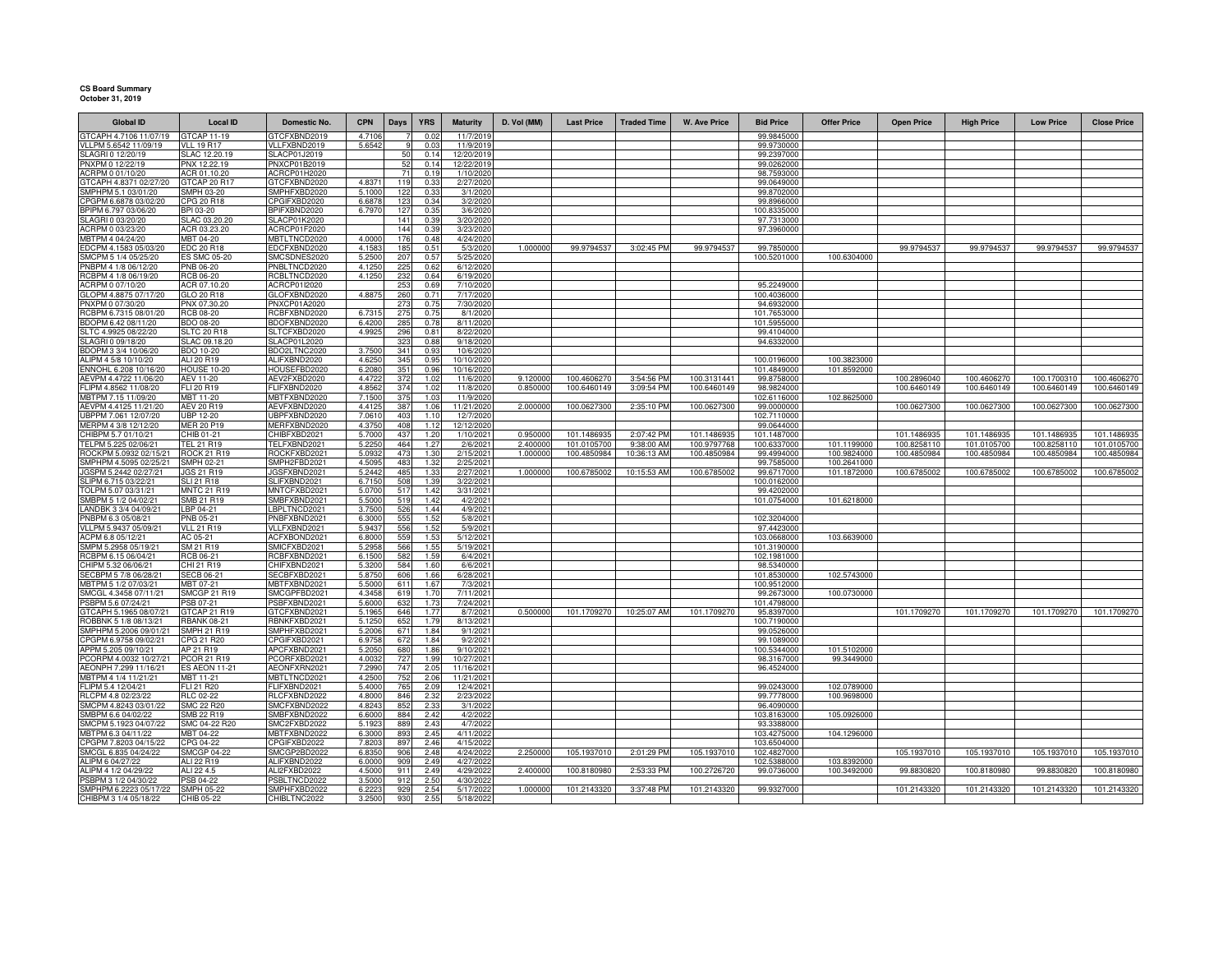## **CS Board Summary October 31, 2019**

| <b>Global ID</b>                                | <b>Local ID</b>                  | Domestic No.                       | <b>CPN</b>     | Days       | <b>YRS</b>   | <b>Maturity</b>         | D. Vol (MM) | <b>Last Price</b> | <b>Traded Time</b> | <b>W. Ave Price</b> | <b>Bid Price</b>           | <b>Offer Price</b>         | <b>Open Price</b> | <b>High Price</b> | <b>Low Price</b> | <b>Close Price</b> |
|-------------------------------------------------|----------------------------------|------------------------------------|----------------|------------|--------------|-------------------------|-------------|-------------------|--------------------|---------------------|----------------------------|----------------------------|-------------------|-------------------|------------------|--------------------|
| GTCAPH 4.7106 11/07/19                          | GTCAP 11-19                      | GTCFXBND2019                       | 4.7106         |            | 0.02         | 11/7/201                |             |                   |                    |                     | 99.9845000                 |                            |                   |                   |                  |                    |
| VLLPM 5.6542 11/09/19                           | <b>VLL 19 R17</b>                | VLLFXBND2019                       | 5.6542         |            | 0.03         | 11/9/2019               |             |                   |                    |                     | 99.9730000                 |                            |                   |                   |                  |                    |
| SLAGRI 0 12/20/19                               | SLAC 12.20.19                    | SLACP01J2019                       |                | 50         | 0.14         | 12/20/2019              |             |                   |                    |                     | 99.2397000                 |                            |                   |                   |                  |                    |
| PNXPM 0 12/22/19                                | PNX 12.22.19                     | PNXCP01B2019                       |                | 52         | 0.14         | 12/22/2019              |             |                   |                    |                     | 99.0262000                 |                            |                   |                   |                  |                    |
| ACRPM 0 01/10/20<br>GTCAPH 4.8371 02/27/20      | ACR 01.10.20<br>GTCAP 20 R17     | ACRCP01H2020<br>GTCFXBND2020       | 4.8371         | 71<br>119  | 0.19<br>0.33 | 1/10/2020<br>2/27/2020  |             |                   |                    |                     | 98.7593000<br>99.0649000   |                            |                   |                   |                  |                    |
| SMPHPM 5.1 03/01/20                             | SMPH 03-20                       | SMPHFXBD2020                       | 5.1000         | 122        | 0.33         | 3/1/202                 |             |                   |                    |                     | 99.8702000                 |                            |                   |                   |                  |                    |
| CPGPM 6.6878 03/02/20                           | PG 20 R18                        | CPGIFXBD2020                       | 6.687          | 123        | 0.34         | 3/2/2020                |             |                   |                    |                     | 99.8966000                 |                            |                   |                   |                  |                    |
| BPIPM 6.797 03/06/20                            | BPI 03-20                        | BPIFXBND2020                       | 6.797          | 127        | 0.35         | 3/6/2020                |             |                   |                    |                     | 100.8335000                |                            |                   |                   |                  |                    |
| SLAGRI 0 03/20/20                               | SLAC 03.20.20                    | <b>SLACP01K2020</b>                |                | 141        | 0.39         | 3/20/2020               |             |                   |                    |                     | 97.7313000                 |                            |                   |                   |                  |                    |
| ACRPM 0 03/23/20                                | ACR 03.23.20                     | ACRCP01F2020                       |                | 144        | 0.39         | 3/23/2020               |             |                   |                    |                     | 97.3960000                 |                            |                   |                   |                  |                    |
| MBTPM 4 04/24/20                                | MBT 04-20                        | MBTLTNCD2020                       | 4.0000         | 176        | 0.48         | 4/24/2020               |             |                   |                    |                     |                            |                            |                   |                   |                  |                    |
| EDCPM 4.1583 05/03/20                           | EDC 20 R18                       | EDCFXBND2020                       | 4.158          | 185        | 0.51         | 5/3/2020                | 1.00000     | 99.9794537        | 3:02:45 PM         | 99.9794537          | 99.7850000                 |                            | 99.9794537        | 99.9794537        | 99.9794537       | 99.9794537         |
| SMCPM 5 1/4 05/25/20                            | ES SMC 05-20                     | SMCSDNES2020                       | 5.250          | 207        | 0.57         | 5/25/2020               |             |                   |                    |                     | 100.5201000                | 100.6304000                |                   |                   |                  |                    |
| PNBPM 4 1/8 06/12/20<br>RCBPM 4 1/8 06/19/20    | PNB 06-20                        | PNBLTNCD2020                       | 4.125<br>4.125 | 225        | 0.62         | 6/12/2020<br>6/19/2020  |             |                   |                    |                     |                            |                            |                   |                   |                  |                    |
| ACRPM 0 07/10/20                                | <b>RCB 06-20</b><br>ACR 07.10.20 | RCBLTNCD2020<br>ACRCP01I2020       |                | 232<br>253 | 0.64<br>0.69 | 7/10/2020               |             |                   |                    |                     | 95.2249000                 |                            |                   |                   |                  |                    |
| GLOPM 4.8875 07/17/20                           | GLO 20 R18                       | GLOFXBND2020                       | 4.887          | 260        | 0.71         | 7/17/2020               |             |                   |                    |                     | 100.4036000                |                            |                   |                   |                  |                    |
| PNXPM 0 07/30/20                                | PNX 07.30.20                     | PNXCP01A2020                       |                | 273        | 0.75         | 7/30/2020               |             |                   |                    |                     | 94.6932000                 |                            |                   |                   |                  |                    |
| RCBPM 6.7315 08/01/20                           | RCB 08-20                        | RCBFXBND2020                       | 6.731          | 275        | 0.75         | 8/1/2020                |             |                   |                    |                     | 101.7653000                |                            |                   |                   |                  |                    |
| BDOPM 6.42 08/11/20                             | <b>BDO 08-20</b>                 | BDOFXBND2020                       | 6.420          | 285        | 0.78         | 8/11/2020               |             |                   |                    |                     | 101.5955000                |                            |                   |                   |                  |                    |
| SLTC 4.9925 08/22/20                            | <b>SLTC 20 R18</b>               | SLTCFXBD2020                       | 4.992          | 296        | 0.81         | 8/22/2020               |             |                   |                    |                     | 99.4104000                 |                            |                   |                   |                  |                    |
| SLAGRI 0 09/18/20                               | SLAC 09.18.20                    | SLACP01L2020                       |                | 323        | 0.88         | 9/18/2020               |             |                   |                    |                     | 94.6332000                 |                            |                   |                   |                  |                    |
| BDOPM 3 3/4 10/06/20                            | BDO 10-20                        | BDO2LTNC2020                       | 3.750          | 341        | 0.93         | 10/6/2020               |             |                   |                    |                     |                            |                            |                   |                   |                  |                    |
| ALIPM 4 5/8 10/10/20                            | ALI 20 R19                       | ALIFXBND2020                       | 4.625          | 345        | 0.95         | 10/10/2020              |             |                   |                    |                     | 100.0196000                | 100.3823000                |                   |                   |                  |                    |
| ENNOHL 6.208 10/16/20<br>AEVPM 4.4722 11/06/20  | <b>HOUSE 10-20</b><br>AEV 11-20  | HOUSEFBD202<br>AEV2FXBD2020        | 6.208<br>4.472 | 351<br>37  | 0.96<br>1.02 | 10/16/202               | 9.12000     | 100.4606270       | 3:54:56 PM         | 100.3131441         | 101.4849000<br>99.8758000  | 101.8592000                | 100.2896040       | 100.4606270       | 100.170031       | 100.4606270        |
| FLIPM 4.8562 11/08/20                           | FLI 20 R19                       | FLIFXBND2020                       | 4.856          | 374        | 1.02         | 11/6/2020<br>11/8/2020  | 0.850000    | 100.6460149       | 3:09:54 PM         | 100.6460149         | 98.9824000                 |                            | 100.6460149       | 100.6460149       | 100.6460149      | 100.6460149        |
| MBTPM 7.15 11/09/20                             | MBT 11-20                        | MBTFXBND2020                       | 7.150          | 375        | 1.03         | 11/9/2020               |             |                   |                    |                     | 102.6116000                | 102.8625000                |                   |                   |                  |                    |
| AEVPM 4.4125 11/21/20                           | <b>AEV 20 R19</b>                | AEVFXBND2020                       | 4.412          | 387        | 1.06         | 11/21/2020              | 2.000000    | 100.0627300       | 2:35:10 PM         | 100.0627300         | 99.0000000                 |                            | 100.0627300       | 100.0627300       | 100.0627300      | 100.0627300        |
| UBPPM 7.061 12/07/20                            | <b>UBP 12-20</b>                 | UBPFXBND2020                       | 7.061          | 403        | 110          | 12/7/2020               |             |                   |                    |                     | 102.7110000                |                            |                   |                   |                  |                    |
| MERPM 4 3/8 12/12/20                            | <b>MER 20 P19</b>                | MERFXBND2020                       | 4.375          | 408        | 1.12         | 12/12/202               |             |                   |                    |                     | 99.0644000                 |                            |                   |                   |                  |                    |
| CHIBPM 5.7 01/10/21                             | CHIB 01-21                       | CHIBFXBD2021                       | 5.700          | 437        | 1.20         | 1/10/2021               | 0.95000     | 101.1486935       | 2:07:42 PM         | 101.148693          | 101.1487000                |                            | 101.1486935       | 101.1486935       | 101.1486935      | 101.1486935        |
| TELPM 5.225 02/06/21                            | TEL 21 R19                       | TELFXBND2021                       | 5.225          | 464        | 1.27         | 2/6/202                 | 2.40000     | 101.0105700       | 9:38:00 AM         | 100.9797768         | 100.6337000                | 101.1199000                | 100.8258110       | 101.0105700       | 100.825811       | 101.0105700        |
| ROCKPM 5.0932 02/15/2                           | <b>ROCK 21 R19</b>               | ROCKFXBD202                        | 5.093          | 473        | 1.30         | 2/15/2021               | 1.00000     | 100.4850984       | 10:36:13 AM        | 100.4850984         | 99.4994000                 | 100.9824000                | 100.4850984       | 100.4850984       | 100.485098       | 100.4850984        |
| SMPHPM 4.5095 02/25/21                          | SMPH 02-21                       | SMPH2FBD2021                       | 4.509          | 483        | 1.32         | 2/25/2021               |             |                   |                    |                     | 99.7585000                 | 100.2641000                |                   |                   |                  |                    |
| GSPM 5.2442 02/27/21<br>SLIPM 6.715 03/22/21    | GS 21 R19<br><b>SLI 21 R18</b>   | <b>JGSFXBND202</b><br>SLIFXBND2021 | 5.244<br>6.715 | 485<br>508 | 1.33<br>1.39 | 2/27/2021<br>3/22/2021  | 1.00000     | 100.678500        | 10:15:53 AM        | 100.6785002         | 99.6717000<br>100.0162000  | 101.1872000                | 100.6785002       | 100.6785002       | 100.6785002      | 100.678500         |
| TOLPM 5.07 03/31/21                             | <b>MNTC 21 R19</b>               | MNTCFXBD2021                       | 5.070          | 517        | 1.42         | 3/31/2021               |             |                   |                    |                     | 99.4202000                 |                            |                   |                   |                  |                    |
| SMBPM 5 1/2 04/02/21                            | SMB 21 R19                       | SMBFXBND2021                       | 5.500          | 519        | 1.42         | 4/2/2021                |             |                   |                    |                     | 101.0754000                | 101.6218000                |                   |                   |                  |                    |
| LANDBK 3 3/4 04/09/21                           | LBP 04-21                        | LBPLTNCD2021                       | 3.7500         | 526        | 1.44         | 4/9/2021                |             |                   |                    |                     |                            |                            |                   |                   |                  |                    |
| PNBPM 6.3 05/08/21                              | PNB 05-21                        | PNBFXBND2021                       | 6.300          | 555        | 1.52         | 5/8/2021                |             |                   |                    |                     | 102.3204000                |                            |                   |                   |                  |                    |
| VLLPM 5.9437 05/09/21                           | <b>VLL 21 R19</b>                | VLLFXBND2021                       | 5.9437         | 556        | 1.52         | 5/9/2021                |             |                   |                    |                     | 97.4423000                 |                            |                   |                   |                  |                    |
| ACPM 6.8 05/12/21                               | AC 05-21                         | ACFXBOND2021                       | 6.800          | 559        | 1.53         | 5/12/2021               |             |                   |                    |                     | 103.0668000                | 103.6639000                |                   |                   |                  |                    |
| SMPM 5.2958 05/19/21                            | SM 21 R19                        | SMICFXBD2021                       | 5.2958         | 566        | 1.55         | 5/19/2021               |             |                   |                    |                     | 101.3190000                |                            |                   |                   |                  |                    |
| RCBPM 6.15 06/04/21                             | RCB 06-21                        | RCBFXBND2021                       | 6.150          | 582        | 1.59         | 6/4/2021                |             |                   |                    |                     | 102.1981000                |                            |                   |                   |                  |                    |
| CHIPM 5.32 06/06/21                             | CHI 21 R19                       | CHIFXBND2021                       | 5.320          | 584        | 1.60         | 6/6/2021                |             |                   |                    |                     | 98.5340000                 |                            |                   |                   |                  |                    |
| SECBPM 5 7/8 06/28/21<br>MBTPM 5 1/2 07/03/21   | <b>SECB 06-21</b><br>MBT 07-21   | SECBFXBD2021<br>MBTFXBND2021       | 5.875<br>5.500 | 606<br>611 | 1.66<br>1.67 | 6/28/2021<br>7/3/2021   |             |                   |                    |                     | 101.8530000<br>100.9512000 | 102.5743000                |                   |                   |                  |                    |
| SMCGL 4.3458 07/11/21                           | <b>SMCGP 21 R19</b>              | SMCGPFBD2021                       | 4.345          | 619        | 1.70         | 7/11/2021               |             |                   |                    |                     | 99.2673000                 | 100.0730000                |                   |                   |                  |                    |
| PSBPM 5.6 07/24/21                              | <b>PSB 07-21</b>                 | PSBFXBND2021                       | 5.600          | 632        | 1.73         | 7/24/2021               |             |                   |                    |                     | 101.4798000                |                            |                   |                   |                  |                    |
| GTCAPH 5.1965 08/07/21                          | <b>GTCAP 21 R19</b>              | GTCFXBND2021                       | 5.196          | 646        | 1.77         | 8/7/2021                | 0.500000    | 101.1709270       | 10:25:07 AM        | 101.1709270         | 95.8397000                 |                            | 101.1709270       | 101.1709270       | 101.1709270      | 101.1709270        |
| ROBBNK 5 1/8 08/13/21                           | <b>RBANK 08-21</b>               | RBNKFXBD2021                       | 5.125          | 652        | 1.79         | 8/13/2021               |             |                   |                    |                     | 100.7190000                |                            |                   |                   |                  |                    |
| SMPHPM 5.2006 09/01/21                          | SMPH 21 R19                      | SMPHFXBD2021                       | 5.200          | 671        | 1.84         | 9/1/2021                |             |                   |                    |                     | 99.0526000                 |                            |                   |                   |                  |                    |
| CPGPM 6.9758 09/02/21                           | CPG 21 R20                       | CPGIFXBD2021                       | 6.975          | 672        | 1.84         | 9/2/2021                |             |                   |                    |                     | 99.1089000                 |                            |                   |                   |                  |                    |
| APPM 5.205 09/10/21                             | AP 21 R19                        | APCFXBND2021                       | 5.205          | 680        | 1.86         | 9/10/2021               |             |                   |                    |                     | 100.5344000                | 101.5102000                |                   |                   |                  |                    |
| PCORPM 4.0032 10/27/21<br>AEONPH 7.299 11/16/21 | PCOR 21 R19                      | PCORFXBD2021<br>AEONFXRN2021       | 4.003          | 727<br>747 | 1.99         | 10/27/2021              |             |                   |                    |                     | 98.3167000                 | 99.3449000                 |                   |                   |                  |                    |
| MBTPM 4 1/4 11/21/21                            | S AEON 11-21<br><b>MBT 11-21</b> | MBTLTNCD2021                       | 7.299<br>4.250 | 752        | 2.05<br>2.06 | 11/16/2021              |             |                   |                    |                     | 96.4524000                 |                            |                   |                   |                  |                    |
| FLIPM 5.4 12/04/21                              | FLI 21 R20                       | FLIFXBND2021                       | 5.400          | 765        | 2.09         | 11/21/2021<br>12/4/2021 |             |                   |                    |                     | 99.0243000                 | 102.0789000                |                   |                   |                  |                    |
| RLCPM 4.8 02/23/22                              | RLC 02-22                        | RLCFXBND2022                       | 4.8000         | 846        | 2.32         | 2/23/2022               |             |                   |                    |                     | 99.7778000                 | 100.9698000                |                   |                   |                  |                    |
| SMCPM 4.8243 03/01/22                           | <b>SMC 22 R20</b>                | SMCFXBND2022                       | 4.824          | 852        | 2.33         | 3/1/2022                |             |                   |                    |                     | 96.4090000                 |                            |                   |                   |                  |                    |
| SMBPM 6.6 04/02/22                              | SMB 22 R19                       | SMBFXBND2022                       | 6.6000         | 884        | 2.42         | 4/2/2022                |             |                   |                    |                     | 103.8163000                | 105.0926000                |                   |                   |                  |                    |
| SMCPM 5.1923 04/07/22                           | SMC 04-22 R20                    | SMC2FXBD2022                       | 5.192          | 889        | 2.43         | 4/7/2022                |             |                   |                    |                     | 93.3388000                 |                            |                   |                   |                  |                    |
| MBTPM 6.3 04/11/22                              | MBT 04-22                        | MBTFXBND2022                       | 6.3000         | 893        | 2.45         | 4/11/2022               |             |                   |                    |                     | 103.4275000                | 104.1296000                |                   |                   |                  |                    |
| CPGPM 7.8203 04/15/22                           | CPG 04-22                        | CPGIFXBD2022                       | 7.820          | 897        | 2.46         | 4/15/2022               |             |                   |                    |                     | 103.6504000                |                            |                   |                   |                  |                    |
| SMCGL 6.835 04/24/22                            | <b>SMCGP 04-22</b>               | SMCGP2BD2022                       | 6.835          | 906        | 2.48         | 4/24/2022               | 2.250000    | 105.1937010       | 2:01:29 PM         | 105.1937010         | 102.4827000                |                            | 105.1937010       | 105.1937010       | 105.1937010      | 105.1937010        |
| ALIPM 6 04/27/22<br>ALIPM 4 1/2 04/29/22        | ALI 22 R19<br>ALI 22 4.5         | ALIFXBND2022<br>ALI2FXBD2022       | 6.000<br>4.500 | 909<br>911 | 2.49<br>2.49 | 4/27/2022<br>4/29/2022  | 2.400000    | 100.8180980       | 2:53:33 PM         | 100.2726720         | 102.5388000<br>99.0736000  | 103.8392000<br>100.3492000 | 99.8830820        | 100.8180980       | 99.8830820       | 100.8180980        |
| PSBPM 3 1/2 04/30/22                            | PSB 04-22                        | PSBLTNCD2022                       | 3.500          | 912        | 2.50         | 4/30/2022               |             |                   |                    |                     |                            |                            |                   |                   |                  |                    |
| SMPHPM 6.2223 05/17/22                          | <b>SMPH 05-22</b>                | SMPHFXBD2022                       | 6.222          | 929        | 2.54         | 5/17/2022               | 1.000000    | 101.2143320       | 3:37:48 PM         | 101.2143320         | 99.9327000                 |                            | 101.2143320       | 101.2143320       | 101.2143320      | 101.2143320        |
| CHIBPM 3 1/4 05/18/22                           | CHIB 05-22                       | CHIBLTNC2022                       | 3.250          | 93         | 2.55         | 5/18/2022               |             |                   |                    |                     |                            |                            |                   |                   |                  |                    |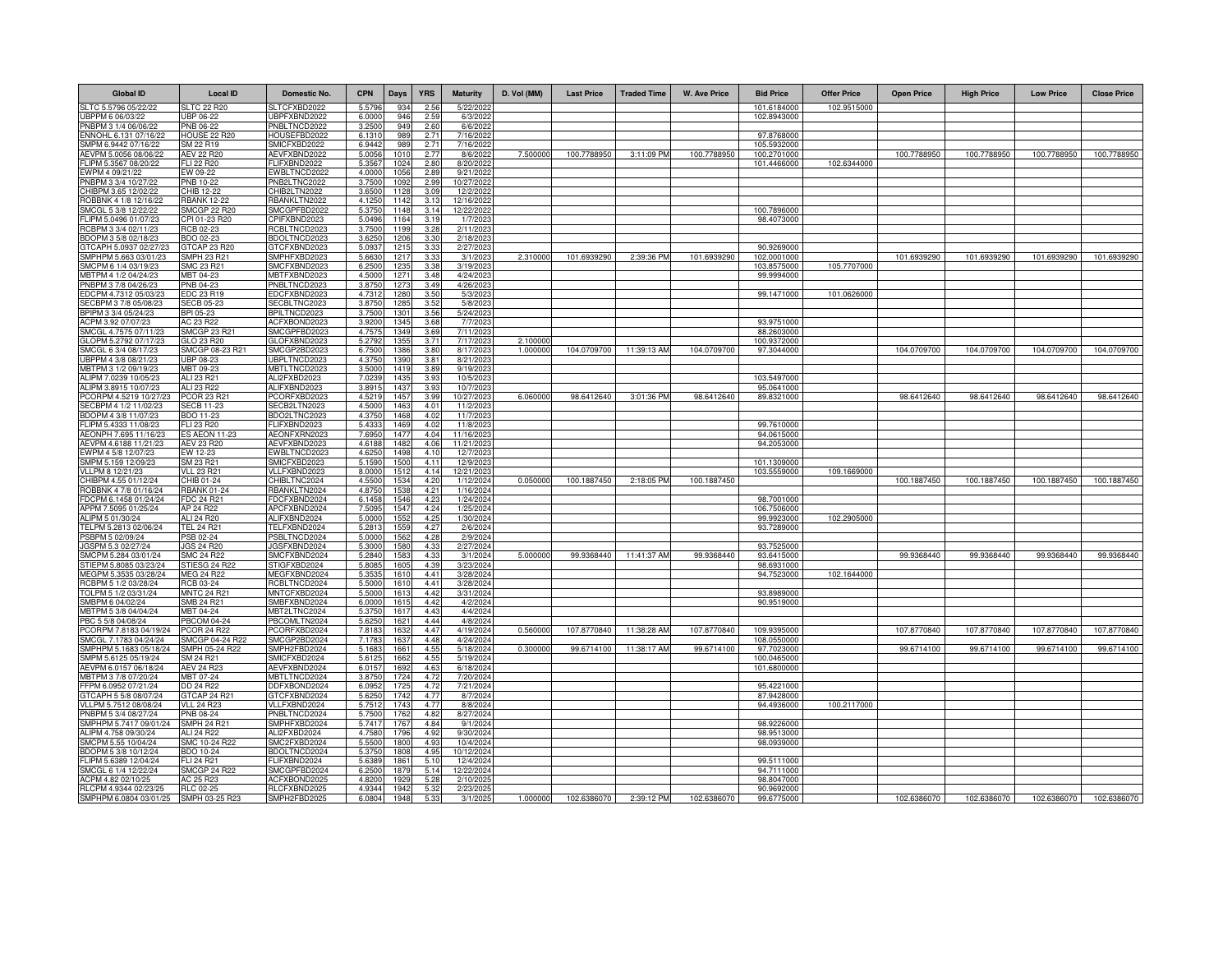| <b>Global ID</b>                                               | Local ID                         | Domestic No.                 | <b>CPN</b>      | <b>Days</b>  | <b>YRS</b>       | <b>Maturity</b>        | D. Vol (MM) | <b>Last Price</b> | <b>Traded Time</b> | <b>W. Ave Price</b> | <b>Bid Price</b>          | <b>Offer Price</b> | <b>Open Price</b> | <b>High Price</b> | <b>Low Price</b> | <b>Close Price</b> |
|----------------------------------------------------------------|----------------------------------|------------------------------|-----------------|--------------|------------------|------------------------|-------------|-------------------|--------------------|---------------------|---------------------------|--------------------|-------------------|-------------------|------------------|--------------------|
| SLTC 5.5796 05/22/22                                           | <b>SLTC 22 R20</b>               | SLTCFXBD2022                 | 5.579           | 934          | 2.56             | 5/22/202               |             |                   |                    |                     | 101.6184000               | 102.9515000        |                   |                   |                  |                    |
| UBPPM 6 06/03/22                                               | UBP 06-22                        | UBPFXBND2022                 | 6.0000          | 946          | 2.59             | 6/3/2022               |             |                   |                    |                     | 102.8943000               |                    |                   |                   |                  |                    |
| PNBPM 3 1/4 06/06/22                                           | PNB 06-22                        | PNBLTNCD2022                 | 3.2500          | 949          | 2.60             | 6/6/2022               |             |                   |                    |                     |                           |                    |                   |                   |                  |                    |
| ENNOHL 6.131 07/16/22                                          | HOUSE 22 R20                     | HOUSEFBD2022                 | 6.131           | 989          | 2.71             | 7/16/2022              |             |                   |                    |                     | 97.8768000                |                    |                   |                   |                  |                    |
| SMPM 6.9442 07/16/22                                           | SM 22 R19                        | SMICFXBD2022                 | 6.944           | 989          | 2.71             | 7/16/2022              |             |                   |                    |                     | 105.5932000               |                    |                   |                   |                  |                    |
| AEVPM 5.0056 08/06/22                                          | <b>AEV 22 R20</b>                | AEVFXBND2022                 | 5.005           | 101          | 2.77             | 8/6/2022               | 7.50000     | 100.7788950       | 3:11:09 PM         | 100.7788950         | 100.2701000               |                    | 100.7788950       | 100.7788950       | 100.7788950      | 100.7788950        |
| FLIPM 5.3567 08/20/22<br>EWPM 4 09/21/22                       | FLI 22 R20<br>EW 09-22           | FLIFXBND2022<br>EWBLTNCD2022 | 5.356<br>4.000  | 1024<br>1056 | 2.80<br>2.89     | 8/20/202<br>9/21/2022  |             |                   |                    |                     | 101.4466000               | 102.6344000        |                   |                   |                  |                    |
| PNBPM 3 3/4 10/27/22                                           | PNB 10-22                        | PNB2LTNC2022                 | 3.750           | 109          | 2.99             | 10/27/2022             |             |                   |                    |                     |                           |                    |                   |                   |                  |                    |
| CHIBPM 3.65 12/02/22                                           | CHIB 12-22                       | CHIB2LTN2022                 | 3.650           | 1128         | 3.09             | 12/2/2022              |             |                   |                    |                     |                           |                    |                   |                   |                  |                    |
| ROBBNK 4 1/8 12/16/22                                          | <b>RBANK 12-22</b>               | RBANKLTN2022                 | 4.1250          | 1142         | 3.13             | 12/16/2022             |             |                   |                    |                     |                           |                    |                   |                   |                  |                    |
| SMCGL 5 3/8 12/22/22                                           | SMCGP 22 R20                     | SMCGPFBD2022                 | 5.375           | 1148         | 3.14             | 12/22/202              |             |                   |                    |                     | 100.7896000               |                    |                   |                   |                  |                    |
| FLIPM 5.0496 01/07/23                                          | CPI 01-23 R20                    | CPIFXBND2023                 | 5.049           | 1164         | 3.19             | 1/7/2023               |             |                   |                    |                     | 98.4073000                |                    |                   |                   |                  |                    |
| RCBPM 3 3/4 02/11/23                                           | RCB 02-23                        | RCBLTNCD2023                 | 3.750           | 1199         | 3.28             | 2/11/2023              |             |                   |                    |                     |                           |                    |                   |                   |                  |                    |
| BDOPM 3 5/8 02/18/23                                           | BDO 02-23                        | BDOLTNCD2023                 | 3.625           | 1206         | 3.30             | 2/18/202               |             |                   |                    |                     |                           |                    |                   |                   |                  |                    |
| 3TCAPH 5.0937 02/27/23                                         | <b>TCAP 23 R20</b>               | <b>STCFXBND2023</b>          | 5.093           | 121          | 3.33             | 2/27/202               |             |                   |                    |                     | 90.9269000                |                    |                   |                   |                  |                    |
| SMPHPM 5.663 03/01/23                                          | <b>MPH 23 R21</b>                | SMPHFXBD2023                 | 5.663           | 1217         | 3.33             | 3/1/2023               | 2.310000    | 101.6939290       | 2:39:36 PM         | 101.6939290         | 102.0001000               |                    | 101.6939290       | 101.6939290       | 101.6939290      | 101.6939290        |
| SMCPM 6 1/4 03/19/23                                           | SMC 23 R21                       | SMCFXBND2023                 | 6.250           | 1235         | 3.38             | 3/19/2023              |             |                   |                    |                     | 103.8575000<br>99.9994000 | 105.7707000        |                   |                   |                  |                    |
| MBTPM 4 1/2 04/24/23<br>PNBPM 3 7/8 04/26/23                   | MBT 04-23<br>PNB 04-23           | MBTFXBND2023<br>PNBLTNCD2023 | 4.5000<br>3.875 | 1271<br>127  | 3.48<br>3.49     | 4/24/2023<br>4/26/202  |             |                   |                    |                     |                           |                    |                   |                   |                  |                    |
| EDCPM 4.7312 05/03/23                                          | EDC 23 R19                       | EDCFXBND2023                 | 4.731           | 128          | 3.50             | 5/3/202                |             |                   |                    |                     | 99.1471000                | 101.0626000        |                   |                   |                  |                    |
| SECBPM 3 7/8 05/08/23                                          | <b>SECB 05-23</b>                | SECBLTNC2023                 | 3.875           | 1285         | 3.52             | 5/8/202                |             |                   |                    |                     |                           |                    |                   |                   |                  |                    |
| BPIPM 3 3/4 05/24/23                                           | BPI 05-23                        | BPILTNCD2023                 | 3.750           | 130          | 3.56             | 5/24/202               |             |                   |                    |                     |                           |                    |                   |                   |                  |                    |
| ACPM 3.92 07/07/23                                             | AC 23 R22                        | ACFXBOND2023                 | 3.920           | 1345         | 3.68             | 7/7/202                |             |                   |                    |                     | 93.9751000                |                    |                   |                   |                  |                    |
| SMCGL 4.7575 07/11/23                                          | <b>SMCGP 23 R21</b>              | SMCGPFBD2023                 | 4.757           | 1349         | 3.69             | 7/11/2023              |             |                   |                    |                     | 88.2603000                |                    |                   |                   |                  |                    |
| GLOPM 5.2792 07/17/23                                          | GLO 23 R20                       | GLOFXBND2023                 | 5.2792          | 1355         | 3.71             | 7/17/202               | 2.10000     |                   |                    |                     | 100.9372000               |                    |                   |                   |                  |                    |
| SMCGL 6 3/4 08/17/23                                           | SMCGP 08-23 R21                  | SMCGP2BD2023                 | 6.750           | 1386         | 3.80             | 8/17/202               | 1.000000    | 104.0709700       | 11:39:13 AM        | 104.0709700         | 97.3044000                |                    | 104.0709700       | 104.0709700       | 104.0709700      | 104.0709700        |
| JBPPM 4 3/8 08/21/23                                           | UBP 08-23                        | UBPLTNCD2023                 | 4.375           | 1390         | 3.81             | 8/21/202               |             |                   |                    |                     |                           |                    |                   |                   |                  |                    |
| MBTPM 3 1/2 09/19/23                                           | MBT 09-23                        | MBTLTNCD2023                 | 3.500           | 1419         | 3.89             | 9/19/202               |             |                   |                    |                     |                           |                    |                   |                   |                  |                    |
| ALIPM 7.0239 10/05/23                                          | ALI 23 R21                       | ALI2FXBD2023                 | 7.023           | 1435         | 3.93             | 10/5/202               |             |                   |                    |                     | 103.5497000               |                    |                   |                   |                  |                    |
| ALIPM 3.8915 10/07/23<br>PCORPM 4.5219 10/27/2                 | ALI 23 R22<br>PCOR 23 R21        | ALIFXBND2023<br>PCORFXBD202  | 3.891<br>4.521  | 1437<br>1457 | 3.93<br>3.99     | 10/7/2023<br>10/27/202 | 6.060000    | 98.6412640        | 3:01:36 PM         | 98.6412640          | 95.0641000<br>89.8321000  |                    | 98.6412640        | 98.6412640        | 98.6412640       | 98.6412640         |
| SECBPM 4 1/2 11/02/23                                          | <b>SECB 11-23</b>                | SECB2LTN2023                 | 4.5000          | 1463         | 4.01             | 11/2/2023              |             |                   |                    |                     |                           |                    |                   |                   |                  |                    |
| BDOPM 4 3/8 11/07/23                                           | BDO 11-23                        | BDO2LTNC2023                 | 4.375           | 1468         | 4.02             | 11/7/202               |             |                   |                    |                     |                           |                    |                   |                   |                  |                    |
| FLIPM 5.4333 11/08/23                                          | FLI 23 R20                       | FLIFXBND2023                 | 5.433           | 1469         | 4.02             | 11/8/2023              |             |                   |                    |                     | 99.7610000                |                    |                   |                   |                  |                    |
| AEONPH 7.695 11/16/23                                          | <b>S AEON 11-23</b>              | AEONFXRN2023                 | 7.695           | 147          | 4.04             | 11/16/202              |             |                   |                    |                     | 94.0615000                |                    |                   |                   |                  |                    |
| AEVPM 4.6188 11/21/23                                          | AEV 23 R20                       | AEVFXBND2023                 | 4.618           | 1482         | 4.06             | 11/21/202              |             |                   |                    |                     | 94.2053000                |                    |                   |                   |                  |                    |
| EWPM 4 5/8 12/07/23                                            | EW 12-23                         | EWBLTNCD2023                 | 4.625           | 149          | 4.10             | 12/7/202               |             |                   |                    |                     |                           |                    |                   |                   |                  |                    |
| SMPM 5.159 12/09/23                                            | SM 23 R21                        | SMICFXBD2023                 | 5.159           | 1500         | 4.11             | 12/9/2023              |             |                   |                    |                     | 101.1309000               |                    |                   |                   |                  |                    |
| VLLPM 8 12/21/23                                               | <b>VLL 23 R21</b>                | VLLFXBND2023                 | 8.000           | 1512         | 4.14             | 12/21/202              |             |                   |                    |                     | 103.5559000               | 109.1669000        |                   |                   |                  |                    |
| CHIBPM 4.55 01/12/24                                           | CHIB 01-24<br><b>RBANK 01-24</b> | CHIBLTNC2024                 | 4.5500<br>4.875 | 1534         | 4.20<br>4.21     | 1/12/2024              | 0.050000    | 100.1887450       | 2:18:05 PM         | 100.1887450         |                           |                    | 100.1887450       | 100.1887450       | 100.1887450      | 100.1887450        |
| ROBBNK 4 7/8 01/16/24<br>FDCPM 6.1458 01/24/24                 | FDC 24 R21                       | RBANKLTN2024<br>FDCFXBND2024 | 6.145           | 1538<br>1546 | 4.23             | 1/16/2024<br>1/24/2024 |             |                   |                    |                     | 98.7001000                |                    |                   |                   |                  |                    |
| APPM 7.5095 01/25/24                                           | AP 24 R22                        | APCFXBND2024                 | 7.509           | 1547         | 4.24             | 1/25/2024              |             |                   |                    |                     | 106.7506000               |                    |                   |                   |                  |                    |
| ALIPM 5 01/30/24                                               | ALI 24 R20                       | ALIFXBND2024                 | 5.000           | 1552         | 4.25             | 1/30/2024              |             |                   |                    |                     | 99.9923000                | 102.2905000        |                   |                   |                  |                    |
| TELPM 5.2813 02/06/24                                          | <b>TEL 24 R21</b>                | TELFXBND2024                 | 5.281           | 1559         | 4.27             | 2/6/2024               |             |                   |                    |                     | 93.7289000                |                    |                   |                   |                  |                    |
| PSBPM 5 02/09/24                                               | PSB 02-24                        | PSBLTNCD2024                 | 5.000           | 1562         | 4.28             | 2/9/2024               |             |                   |                    |                     |                           |                    |                   |                   |                  |                    |
| JGSPM 5.3 02/27/24                                             | <b>JGS 24 R20</b>                | JGSFXBND2024                 | 5.300           | 1580         | 4.3 <sup>′</sup> | 2/27/2024              |             |                   |                    |                     | 93.7525000                |                    |                   |                   |                  |                    |
| SMCPM 5.284 03/01/24                                           | <b>SMC 24 R22</b>                | SMCFXBND2024                 | 5.2840          | 1583         | 4.33             | 3/1/2024               | 5.000000    | 99.9368440        | 11:41:37 AM        | 99.9368440          | 93.6415000                |                    | 99.9368440        | 99.9368440        | 99.9368440       | 99.9368440         |
| STIEPM 5.8085 03/23/24                                         | STIESG 24 R22                    | STIGFXBD2024                 | 5.808           | 160          | 4.39             | 3/23/2024              |             |                   |                    |                     | 98.6931000                |                    |                   |                   |                  |                    |
| MFGPM 5.3535 03/28/24                                          | <b>MFG 24 R22</b>                | MEGFXBND2024                 | 5.353           | 161          | 4.41             | 3/28/2024              |             |                   |                    |                     | 94.7523000                | 102.1644000        |                   |                   |                  |                    |
| RCBPM 5 1/2 03/28/24<br>TOLPM 5 1/2 03/31/24                   | RCB 03-24<br><b>MNTC 24 R2</b>   | RCBLTNCD2024<br>MNTCFXBD2024 | 5.500<br>5.500  | 161<br>161   | 4.41<br>442      | 3/28/2024<br>3/31/2024 |             |                   |                    |                     | 93.8989000                |                    |                   |                   |                  |                    |
| SMBPM 6 04/02/24                                               | <b>SMB 24 R21</b>                | SMBFXBND2024                 | 6.000           | 161          | 4.42             | 4/2/2024               |             |                   |                    |                     | 90.9519000                |                    |                   |                   |                  |                    |
| MBTPM 5 3/8 04/04/24                                           | MBT 04-24                        | MBT2LTNC2024                 | 5.375           | 1617         | 4.43             | 4/4/2024               |             |                   |                    |                     |                           |                    |                   |                   |                  |                    |
| PBC 5 5/8 04/08/24                                             | <b>PBCOM 04-24</b>               | PBCOMLTN2024                 | 5.625           | 1621         | 4.44             | 4/8/2024               |             |                   |                    |                     |                           |                    |                   |                   |                  |                    |
| PCORPM 7.8183 04/19/24                                         | <b>PCOR 24 R22</b>               | PCORFXBD2024                 | 7.818           | 1632         | 4.47             | 4/19/2024              | 0.560000    | 107.8770840       | 11:38:28 AM        | 107.8770840         | 109.9395000               |                    | 107.8770840       | 107.8770840       | 107.8770840      | 107.8770840        |
| SMCGL 7.1783 04/24/24                                          | SMCGP 04-24 R22                  | SMCGP2BD2024                 | 7.178           | 1637         | 4.48             | 4/24/2024              |             |                   |                    |                     | 108.0550000               |                    |                   |                   |                  |                    |
| SMPHPM 5.1683 05/18/24                                         | SMPH 05-24 R22                   | SMPH2FBD2024                 | 5.168           | 1661         | 4.55             | 5/18/2024              | 0.300000    | 99.6714100        | 11:38:17 AM        | 99.6714100          | 97.7023000                |                    | 99.6714100        | 99.6714100        | 99.6714100       | 99.6714100         |
| SMPM 5.6125 05/19/24                                           | SM 24 R21                        | SMICFXBD2024                 | 5.612           | 1662         | 4.55             | 5/19/2024              |             |                   |                    |                     | 100.0465000               |                    |                   |                   |                  |                    |
| AEVPM 6.0157 06/18/24                                          | <b>AEV 24 R23</b>                | AEVFXBND2024                 | 6.015           | 1692         | 4.63             | 6/18/2024              |             |                   |                    |                     | 101.6800000               |                    |                   |                   |                  |                    |
| MBTPM 3 7/8 07/20/24                                           | MBT 07-24                        | MBTLTNCD2024                 | 3.875           | 172          | 4.72             | 7/20/2024              |             |                   |                    |                     | 95.4221000                |                    |                   |                   |                  |                    |
| FFPM 6.0952 07/21/24<br>GTCAPH 5 5/8 08/07/24                  | DD 24 R22<br>GTCAP 24 R21        | DDFXBOND2024<br>GTCFXBND2024 | 6.095<br>5.625  | 172<br>1742  | 4.72<br>4.77     | 7/21/2024<br>8/7/2024  |             |                   |                    |                     | 87.9428000                |                    |                   |                   |                  |                    |
| VLLPM 5.7512 08/08/24                                          | <b>VLL 24 R23</b>                | VLLFXBND2024                 | 5.751           | 1743         | 4.77             | 8/8/2024               |             |                   |                    |                     | 94.4936000                | 100.2117000        |                   |                   |                  |                    |
| PNBPM 5 3/4 08/27/24                                           | PNB 08-24                        | PNBLTNCD2024                 | 5.750           | 176          | 4.82             | 8/27/2024              |             |                   |                    |                     |                           |                    |                   |                   |                  |                    |
| SMPHPM 5.7417 09/01/24                                         | <b>SMPH 24 R2</b>                | SMPHFXBD2024                 | 5.741           | 176          | 4.84             | 9/1/2024               |             |                   |                    |                     | 98.922600                 |                    |                   |                   |                  |                    |
| ALIPM 4.758 09/30/24                                           | ALI 24 R22                       | ALI2FXBD2024                 | 4.758           | 179          | 4.92             | 9/30/2024              |             |                   |                    |                     | 98.9513000                |                    |                   |                   |                  |                    |
| SMCPM 5.55 10/04/24                                            | SMC 10-24 R22                    | SMC2FXBD2024                 | 5.550           | 180          | 4.93             | 10/4/2024              |             |                   |                    |                     | 98.0939000                |                    |                   |                   |                  |                    |
| BDOPM 5 3/8 10/12/24                                           | <b>BDO 10-24</b>                 | BDOLTNCD2024                 | 5.375           | 180          | 4.95             | 10/12/2024             |             |                   |                    |                     |                           |                    |                   |                   |                  |                    |
| FLIPM 5.6389 12/04/24                                          | FLI 24 R21                       | FLIFXBND2024                 | 5.638           | 1861         | 5.10             | 12/4/2024              |             |                   |                    |                     | 99.5111000                |                    |                   |                   |                  |                    |
| SMCGL 6 1/4 12/22/24                                           | <b>SMCGP 24 R22</b>              | SMCGPFBD2024                 | 6.250           | 1879         | 5.14             | 12/22/2024             |             |                   |                    |                     | 94.7111000                |                    |                   |                   |                  |                    |
| ACPM 4.82 02/10/25                                             | AC 25 R23                        | ACFXBOND2025                 | 4.820           | 1929         | 5.28             | 2/10/2025              |             |                   |                    |                     | 98.8047000                |                    |                   |                   |                  |                    |
| RLCPM 4.9344 02/23/25<br>SMPHPM 6.0804 03/01/25 SMPH 03-25 R23 | <b>RLC</b> 02-25                 | RLCFXBND2025                 | 4.934<br>6.0804 | 1942<br>1948 | 5.32<br>5.33     | 2/23/202<br>3/1/2025   | 1.000000    |                   |                    | 102.6386070         | 90.9692000<br>99.6775000  |                    |                   |                   |                  |                    |
|                                                                |                                  | SMPH2FBD2025                 |                 |              |                  |                        |             | 102.6386070       | 2:39:12 PM         |                     |                           |                    | 102.6386070       | 102.6386070       | 102.6386070      | 102.6386070        |